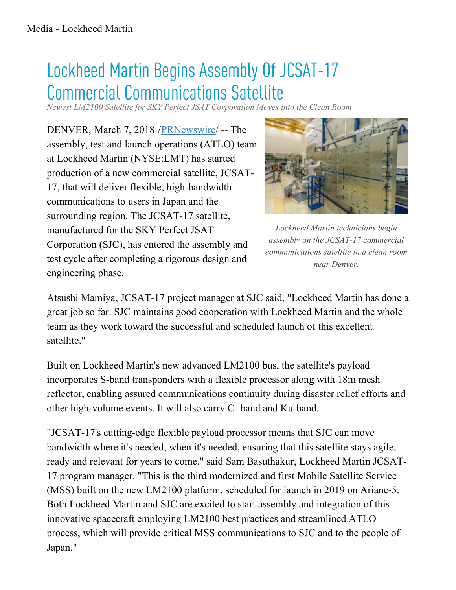## Lockheed Martin Begins Assembly Of JCSAT-17 Commercial Communications Satellite

*Newest LM2100 Satellite for SKY Perfect JSAT Corporation Moves into the Clean Room*

DENVER, March 7, 2018 / PRNewswire -- The assembly, test and launch operations (ATLO) team at Lockheed Martin (NYSE:LMT) has started production of a new commercial satellite, JCSAT-17, that will deliver flexible, high-bandwidth communications to users in Japan and the surrounding region. The JCSAT-17 satellite, manufactured for the SKY Perfect JSAT Corporation (SJC), has entered the assembly and test cycle after completing a rigorous design and engineering phase.



Lockheed Martin technicians begin assembly on the JCSAT-17 commercial communications satellite in a clean room near Denver.

Atsushi Mamiya, JCSAT-17 project manager at SJC said, "Lockheed Martin has done a great job so far. SJC maintains good cooperation with Lockheed Martin and the whole team as they work toward the successful and scheduled launch of this excellent satellite."

Built on Lockheed Martin's new advanced LM2100 bus, the satellite's payload incorporates S-band transponders with a flexible processor along with 18m mesh reflector, enabling assured communications continuity during disaster relief efforts and other high-volume events. It will also carry C- band and Ku-band.

"JCSAT-17's cutting-edge flexible payload processor means that SJC can move bandwidth where it's needed, when it's needed, ensuring that this satellite stays agile, ready and relevant for years to come," said Sam Basuthakur, Lockheed Martin JCSAT-17 program manager. "This is the third modernized and first Mobile Satellite Service (MSS) built on the new LM2100 platform, scheduled for launch in 2019 on Ariane-5. Both Lockheed Martin and SJC are excited to start assembly and integration of this innovative spacecraft employing LM2100 best practices and streamlined ATLO process, which will provide critical MSS communications to SJC and to the people of Japan."